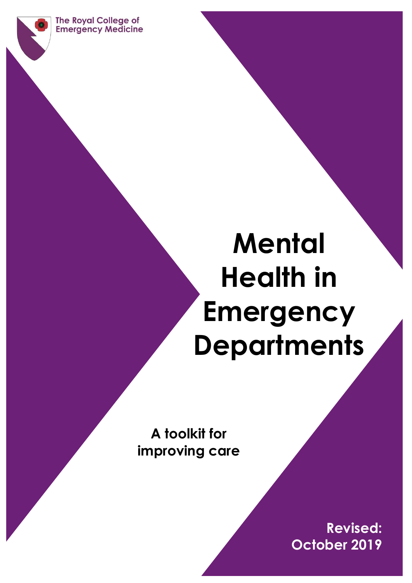**The Royal College of Emergency Medicine** 

# **Mental Health in Emergency Departments**

**A toolkit for improving care**

 $M_{\rm H}$  , the eds – Toolkit (FEB 2013) 10  $\pm$  Toolkit (FEB 2013) 10  $\pm$ 

**Revised: October 2019**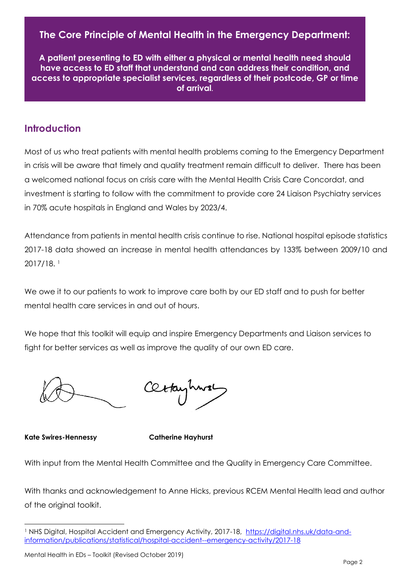## **The Core Principle of Mental Health in the Emergency Department:**

**A patient presenting to ED with either a physical or mental health need should have access to ED staff that understand and can address their condition, and access to appropriate specialist services, regardless of their postcode, GP or time of arrival.**

## <span id="page-1-0"></span>**Introduction**

Most of us who treat patients with mental health problems coming to the Emergency Department in crisis will be aware that timely and quality treatment remain difficult to deliver. There has been a welcomed national focus on crisis care with the Mental Health Crisis Care Concordat, and investment is starting to follow with the commitment to provide core 24 Liaison Psychiatry services in 70% acute hospitals in England and Wales by 2023/4.

Attendance from patients in mental health crisis continue to rise. National hospital episode statistics 2017-18 data showed an increase in mental health attendances by 133% between 2009/10 and 2017/18. <sup>1</sup>

We owe it to our patients to work to improve care both by our ED staff and to push for better mental health care services in and out of hours.

We hope that this toolkit will equip and inspire Emergency Departments and Liaison services to fight for better services as well as improve the quality of our own ED care.

**Kate Swires-Hennessy Catherine Hayhurst**

With input from the Mental Health Committee and the Quality in Emergency Care Committee.

With thanks and acknowledgement to Anne Hicks, previous RCEM Mental Health lead and author of the original toolkit.

<sup>&</sup>lt;sup>1</sup> NHS Digital, Hospital Accident and Emergency Activity, 2017-18, [https://digital.nhs.uk/data-and](https://digital.nhs.uk/data-and-information/publications/statistical/hospital-accident--emergency-activity/2017-18)[information/publications/statistical/hospital-accident--emergency-activity/2017-18](https://digital.nhs.uk/data-and-information/publications/statistical/hospital-accident--emergency-activity/2017-18)

Mental Health in EDs – Toolkit (Revised October 2019)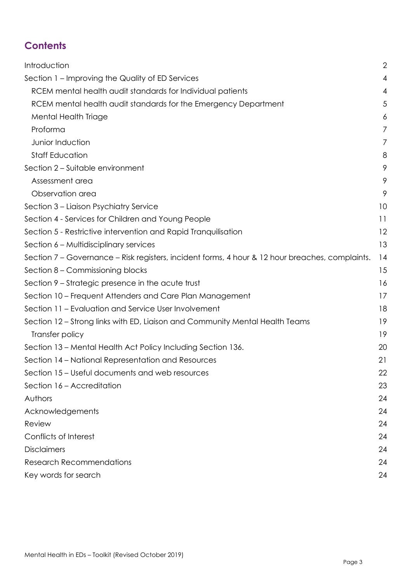## **Contents**

<span id="page-2-0"></span>

| Introduction                                                                                    | 2              |
|-------------------------------------------------------------------------------------------------|----------------|
| Section 1 – Improving the Quality of ED Services                                                | 4              |
| RCEM mental health audit standards for Individual patients                                      | $\overline{4}$ |
| RCEM mental health audit standards for the Emergency Department                                 | 5              |
| Mental Health Triage                                                                            | 6              |
| Proforma                                                                                        | 7              |
| Junior Induction                                                                                | 7              |
| <b>Staff Education</b>                                                                          | 8              |
| Section 2 - Suitable environment                                                                | 9              |
| Assessment area                                                                                 | 9              |
| Observation area                                                                                | 9              |
| Section 3 - Liaison Psychiatry Service                                                          | 10             |
| Section 4 - Services for Children and Young People                                              | 11             |
| Section 5 - Restrictive intervention and Rapid Tranquilisation                                  | 12             |
| Section 6 - Multidisciplinary services                                                          | 13             |
| Section 7 – Governance – Risk registers, incident forms, 4 hour & 12 hour breaches, complaints. | 14             |
| Section 8 – Commissioning blocks                                                                | 15             |
| Section 9 – Strategic presence in the acute trust                                               | 16             |
| Section 10 – Frequent Attenders and Care Plan Management                                        | 17             |
| Section 11 – Evaluation and Service User Involvement                                            | 18             |
| Section 12 – Strong links with ED, Liaison and Community Mental Health Teams                    | 19             |
| Transfer policy                                                                                 | 19             |
| Section 13 – Mental Health Act Policy Including Section 136.                                    | 20             |
| Section 14 – National Representation and Resources                                              | 21             |
| Section 15 – Useful documents and web resources                                                 | 22             |
| Section 16 - Accreditation                                                                      | 23             |
| Authors                                                                                         | 24             |
| Acknowledgements                                                                                | 24             |
| Review                                                                                          | 24             |
| Conflicts of Interest                                                                           | 24             |
| <b>Disclaimers</b>                                                                              | 24             |
| <b>Research Recommendations</b>                                                                 | 24             |
| Key words for search                                                                            | 24             |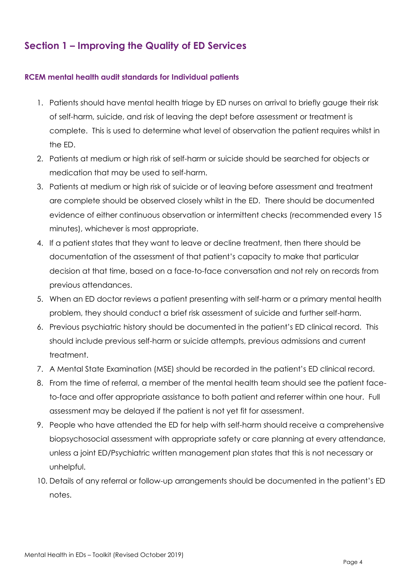## **Section 1 – Improving the Quality of ED Services**

#### <span id="page-3-0"></span>**RCEM mental health audit standards for Individual patients**

- 1. Patients should have mental health triage by ED nurses on arrival to briefly gauge their risk of self-harm, suicide, and risk of leaving the dept before assessment or treatment is complete. This is used to determine what level of observation the patient requires whilst in the ED.
- 2. Patients at medium or high risk of self-harm or suicide should be searched for objects or medication that may be used to self-harm.
- 3. Patients at medium or high risk of suicide or of leaving before assessment and treatment are complete should be observed closely whilst in the ED. There should be documented evidence of either continuous observation or intermittent checks (recommended every 15 minutes), whichever is most appropriate.
- 4. If a patient states that they want to leave or decline treatment, then there should be documentation of the assessment of that patient's capacity to make that particular decision at that time, based on a face-to-face conversation and not rely on records from previous attendances.
- 5. When an ED doctor reviews a patient presenting with self-harm or a primary mental health problem, they should conduct a brief risk assessment of suicide and further self-harm.
- 6. Previous psychiatric history should be documented in the patient's ED clinical record. This should include previous self-harm or suicide attempts, previous admissions and current treatment.
- 7. A Mental State Examination (MSE) should be recorded in the patient's ED clinical record.
- 8. From the time of referral, a member of the mental health team should see the patient faceto-face and offer appropriate assistance to both patient and referrer within one hour. Full assessment may be delayed if the patient is not yet fit for assessment.
- 9. People who have attended the ED for help with self-harm should receive a comprehensive biopsychosocial assessment with appropriate safety or care planning at every attendance, unless a joint ED/Psychiatric written management plan states that this is not necessary or unhelpful.
- 10. Details of any referral or follow-up arrangements should be documented in the patient's ED notes.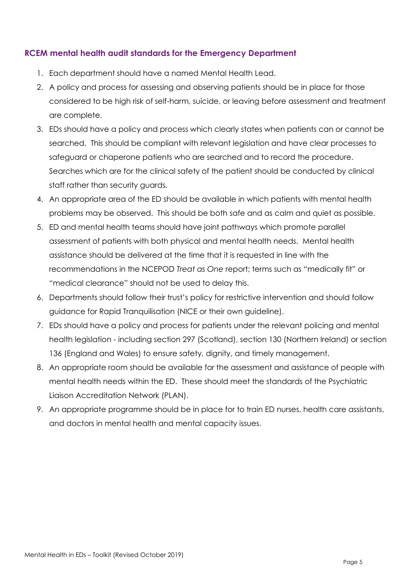#### <span id="page-4-0"></span>**RCEM mental health audit standards for the Emergency Department**

- 1. Each department should have a named Mental Health Lead.
- 2. A policy and process for assessing and observing patients should be in place for those considered to be high risk of self-harm, suicide, or leaving before assessment and treatment are complete.
- 3. EDs should have a policy and process which clearly states when patients can or cannot be searched. This should be compliant with relevant legislation and have clear processes to safeguard or chaperone patients who are searched and to record the procedure. Searches which are for the clinical safety of the patient should be conducted by clinical staff rather than security guards.
- 4. An appropriate area of the ED should be available in which patients with mental health problems may be observed. This should be both safe and as calm and quiet as possible.
- 5. ED and mental health teams should have joint pathways which promote parallel assessment of patients with both physical and mental health needs. Mental health assistance should be delivered at the time that it is requested in line with the recommendations in the NCEPOD *Treat as One* report; terms such as "medically fit" or "medical clearance" should not be used to delay this.
- 6. Departments should follow their trust's policy for restrictive intervention and should follow guidance for Rapid Tranquilisation (NICE or their own guideline).
- 7. EDs should have a policy and process for patients under the relevant policing and mental health legislation - including section 297 (Scotland), section 130 (Northern Ireland) or section 136 (England and Wales) to ensure safety, dignity, and timely management.
- 8. An appropriate room should be available for the assessment and assistance of people with mental health needs within the ED. These should meet the standards of the Psychiatric Liaison Accreditation Network (PLAN).
- 9. An appropriate programme should be in place for to train ED nurses, health care assistants, and doctors in mental health and mental capacity issues.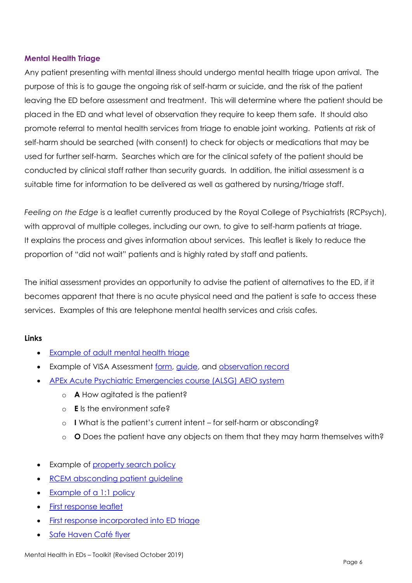#### <span id="page-5-0"></span>**Mental Health Triage**

Any patient presenting with mental illness should undergo mental health triage upon arrival. The purpose of this is to gauge the ongoing risk of self-harm or suicide, and the risk of the patient leaving the ED before assessment and treatment. This will determine where the patient should be placed in the ED and what level of observation they require to keep them safe. It should also promote referral to mental health services from triage to enable joint working. Patients at risk of self-harm should be searched (with consent) to check for objects or medications that may be used for further self-harm. Searches which are for the clinical safety of the patient should be conducted by clinical staff rather than security guards. In addition, the initial assessment is a suitable time for information to be delivered as well as gathered by nursing/triage staff.

*Feeling on the Edge* is a leaflet currently produced by the Royal College of Psychiatrists (RCPsych), with approval of multiple colleges, including our own, to give to self-harm patients at triage. It explains the process and gives information about services. This leaflet is likely to reduce the proportion of "did not wait" patients and is highly rated by staff and patients.

The initial assessment provides an opportunity to advise the patient of alternatives to the ED, if it becomes apparent that there is no acute physical need and the patient is safe to access these services. Examples of this are telephone mental health services and crisis cafes.

#### **Links**

- [Example of adult mental health triage](http://www.rcem.ac.uk/docs/MH%20toolkit%202017/MH%20toolkit%20-%20Adult%20Mental%20Health%20Triage%20Risk%20Assessment.docx)
- Example of VISA Assessment [form,](https://www.rcem.ac.uk/docs/RCEM%20Guidance/Derby%20VISA%20assessment%20form.pdf) [guide,](http://www.rcem.ac.uk/docs/RCEM%20Guidance/Derby%20VISA%20Assessment%20guide.pdf) and [observation record](http://www.rcem.ac.uk/docs/RCEM%20Guidance/Derby%20MH%20observation%20record.pdf)
- [APEx Acute Psychiatric Emergencies course \(ALSG\) AEIO system](https://www.alsg.org/en/files/XFactsheet.pdf)
	- o **A** How agitated is the patient?
	- o **E** Is the environment safe?
	- o **I** What is the patient's current intent for self-harm or absconding?
	- o **O** Does the patient have any objects on them that they may harm themselves with?
- Example of **property search policy**
- RCEM [absconding patient guideline](https://www.rcem.ac.uk/docs/College%20Guidelines/CEC_BPG_Abscond_130117%20SS%20final%202%20-%20on%20new%20template.pdf)
- [Example of a 1:1 policy](http://www.rcem.ac.uk/docs/MH%20toolkit%202017/MH%20toolkit%20-%20Adult%201%20to%201%20Policy.docx)
- [First response leaflet](http://www.rcem.ac.uk/docs/MH%20toolkit%202017/MH%20toolkit%20-%20First%20Response%20A5%20Leaflet.pdf)
- [First response incorporated into ED triage](http://www.rcem.ac.uk/docs/MH%20toolkit%202017/MH%20toolkit%20-%20ED%20pathway%20including%20first%20response.pptx)
- [Safe Haven Café flyer](http://www.rcem.ac.uk/docs/MH%20toolkit%202017/MH%20toolkit%20-%20Safe%20Haven%20Poster.pdf)

Mental Health in EDs – Toolkit (Revised October 2019)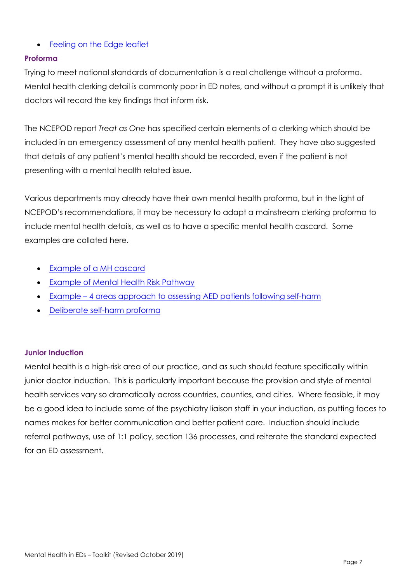#### • [Feeling on the Edge leaflet](http://www.rcpsych.ac.uk/healthadvice/problemsdisorders/feelingontheedge.aspx)

#### <span id="page-6-0"></span>**Proforma**

Trying to meet national standards of documentation is a real challenge without a proforma. Mental health clerking detail is commonly poor in ED notes, and without a prompt it is unlikely that doctors will record the key findings that inform risk.

The NCEPOD report *Treat as One* has specified certain elements of a clerking which should be included in an emergency assessment of any mental health patient. They have also suggested that details of any patient's mental health should be recorded, even if the patient is not presenting with a mental health related issue.

Various departments may already have their own mental health proforma, but in the light of NCEPOD's recommendations, it may be necessary to adapt a mainstream clerking proforma to include mental health details, as well as to have a specific mental health cascard. Some examples are collated here.

- [Example of a MH cascard](http://www.rcem.ac.uk/docs/MH%20toolkit%202017/MH%20toolkit%20-%20Deliberate%20Self%20Harm%20Proforma.doc)
- [Example of Mental Health Risk Pathway](http://www.rcem.ac.uk/docs/Mental%20Health%20pathway%20Wirral%202018.pdf)
- Example [4 areas approach to assessing AED patients following self-harm](http://www.rcem.ac.uk/docs/MH%20toolkit%202017/4%20areas%20approach%20for%20assessing%20AED%20patients%20following%20self-harm.pdf)
- [Deliberate self-harm proforma](http://www.rcem.ac.uk/docs/MH%20toolkit%202017/MH%20toolkit%20-%20Deliberate%20Self%20Harm%20Proforma.doc)

#### <span id="page-6-1"></span>**Junior Induction**

Mental health is a high-risk area of our practice, and as such should feature specifically within junior doctor induction. This is particularly important because the provision and style of mental health services vary so dramatically across countries, counties, and cities. Where feasible, it may be a good idea to include some of the psychiatry liaison staff in your induction, as putting faces to names makes for better communication and better patient care. Induction should include referral pathways, use of 1:1 policy, section 136 processes, and reiterate the standard expected for an ED assessment.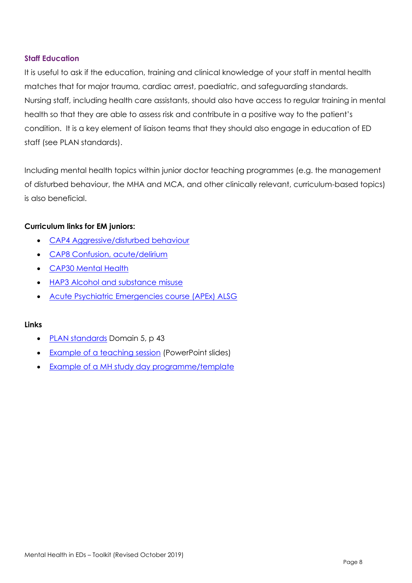#### <span id="page-7-0"></span>**Staff Education**

It is useful to ask if the education, training and clinical knowledge of your staff in mental health matches that for major trauma, cardiac arrest, paediatric, and safeguarding standards. Nursing staff, including health care assistants, should also have access to regular training in mental health so that they are able to assess risk and contribute in a positive way to the patient's condition. It is a key element of liaison teams that they should also engage in education of ED staff (see PLAN standards).

Including mental health topics within junior doctor teaching programmes (e.g. the management of disturbed behaviour, the MHA and MCA, and other clinically relevant, curriculum-based topics) is also beneficial.

#### **Curriculum links for EM juniors:**

- [CAP4 Aggressive/disturbed behaviour](https://www.rcem.ac.uk/docs/Training/RCEM_2015_Curriculum___Applicable_from_August_2016__approved_23_Nov_2015_ATCF_RTT_DRE-EM_additions_July2017%20-%20JCST%20amendments.pdf)
- [CAP8 Confusion, acute/delirium](https://www.rcem.ac.uk/docs/Training/RCEM_2015_Curriculum___Applicable_from_August_2016__approved_23_Nov_2015_ATCF_RTT_DRE-EM_additions_July2017%20-%20JCST%20amendments.pdf)
- [CAP30 Mental Health](https://www.rcem.ac.uk/docs/Training/RCEM_2015_Curriculum___Applicable_from_August_2016__approved_23_Nov_2015_ATCF_RTT_DRE-EM_additions_July2017%20-%20JCST%20amendments.pdf)
- **[HAP3 Alcohol and substance misuse](https://www.rcem.ac.uk/docs/Training/RCEM_2015_Curriculum___Applicable_from_August_2016__approved_23_Nov_2015_ATCF_RTT_DRE-EM_additions_July2017%20-%20JCST%20amendments.pdf)**
- [Acute Psychiatric Emergencies course \(APEx\) ALSG](https://www.alsg.org/en/files/XFactsheet.pdf)

- [PLAN standards](https://www.rcpsych.ac.uk/docs/default-source/improving-care/ccqi/quality-networks/psychiatric-liaison-services-plan/plan-5th-edition-standards-2017.pdf?sfvrsn=ae984319_2) Domain 5, p 43
- [Example of a teaching session](http://www.rcem.ac.uk/docs/MH%20toolkit%202017/MH%20toolkit%20-%20Teaching%20Session%20MCA%20and%20MHA%20in%20the%20ED.pptx) (PowerPoint slides)
- [Example of a MH study day programme/template](http://www.rcem.ac.uk/docs/MH%20toolkit%202017/MH%20toolkit%20-%20MH%20Study%20Day%20Programme%2017%20Oct%202016.docx)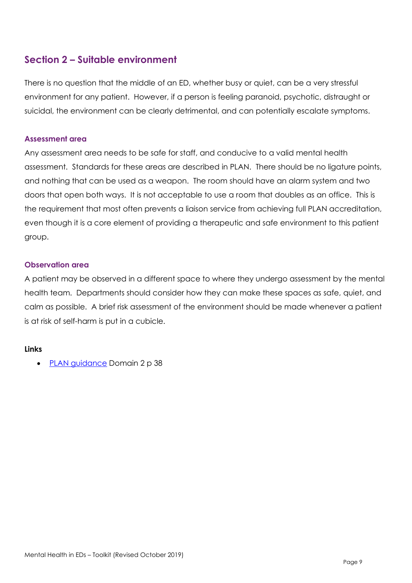## <span id="page-8-0"></span>**Section 2 – Suitable environment**

There is no question that the middle of an ED, whether busy or quiet, can be a very stressful environment for any patient. However, if a person is feeling paranoid, psychotic, distraught or suicidal, the environment can be clearly detrimental, and can potentially escalate symptoms.

#### <span id="page-8-1"></span>**Assessment area**

Any assessment area needs to be safe for staff, and conducive to a valid mental health assessment. Standards for these areas are described in PLAN. There should be no ligature points, and nothing that can be used as a weapon. The room should have an alarm system and two doors that open both ways. It is not acceptable to use a room that doubles as an office. This is the requirement that most often prevents a liaison service from achieving full PLAN accreditation, even though it is a core element of providing a therapeutic and safe environment to this patient group.

#### <span id="page-8-2"></span>**Observation area**

A patient may be observed in a different space to where they undergo assessment by the mental health team. Departments should consider how they can make these spaces as safe, quiet, and calm as possible. A brief risk assessment of the environment should be made whenever a patient is at risk of self-harm is put in a cubicle.

#### **Links**

• [PLAN guidance](https://www.rcpsych.ac.uk/docs/default-source/improving-care/ccqi/quality-networks/psychiatric-liaison-services-plan/plan-5th-edition-standards-2017.pdf?sfvrsn=ae984319_2) Domain 2 p 38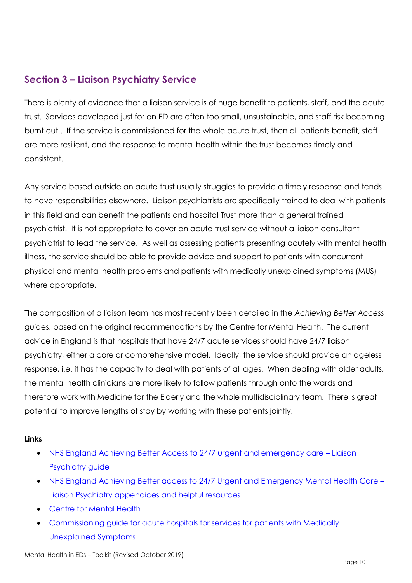## <span id="page-9-0"></span>**Section 3 – Liaison Psychiatry Service**

There is plenty of evidence that a liaison service is of huge benefit to patients, staff, and the acute trust. Services developed just for an ED are often too small, unsustainable, and staff risk becoming burnt out.. If the service is commissioned for the whole acute trust, then all patients benefit, staff are more resilient, and the response to mental health within the trust becomes timely and consistent.

Any service based outside an acute trust usually struggles to provide a timely response and tends to have responsibilities elsewhere. Liaison psychiatrists are specifically trained to deal with patients in this field and can benefit the patients and hospital Trust more than a general trained psychiatrist. It is not appropriate to cover an acute trust service without a liaison consultant psychiatrist to lead the service. As well as assessing patients presenting acutely with mental health illness, the service should be able to provide advice and support to patients with concurrent physical and mental health problems and patients with medically unexplained symptoms (MUS) where appropriate.

The composition of a liaison team has most recently been detailed in the *Achieving Better Access* guides, based on the original recommendations by the Centre for Mental Health. The current advice in England is that hospitals that have 24/7 acute services should have 24/7 liaison psychiatry, either a core or comprehensive model. Ideally, the service should provide an ageless response, i.e. it has the capacity to deal with patients of all ages. When dealing with older adults, the mental health clinicians are more likely to follow patients through onto the wards and therefore work with Medicine for the Elderly and the whole multidisciplinary team. There is great potential to improve lengths of stay by working with these patients jointly.

- [NHS England Achieving Better Access to 24/7 urgent and emergency care](https://www.england.nhs.uk/wp-content/uploads/2016/11/lmhs-guidance.pdf)  Liaison [Psychiatry guide](https://www.england.nhs.uk/wp-content/uploads/2016/11/lmhs-guidance.pdf)
- [NHS England Achieving Better access to 24/7 Urgent and Emergency Mental Health Care](https://www.england.nhs.uk/wp-content/uploads/2016/11/lmhs-helpful-resources.pdf)  [Liaison Psychiatry appendices and helpful resources](https://www.england.nhs.uk/wp-content/uploads/2016/11/lmhs-helpful-resources.pdf)
- [Centre for Mental Health](https://www.centreformentalhealth.org.uk/liaison-psychiatry)
- [Commissioning guide for acute hospitals for services for patients with Medically](http://www.jcpmh.info/good-services/medically-unexplained-symptoms/)  [Unexplained Symptoms](http://www.jcpmh.info/good-services/medically-unexplained-symptoms/)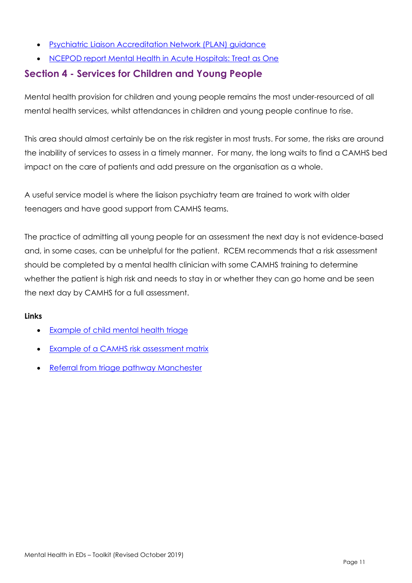- [Psychiatric Liaison Accreditation Network \(PLAN\) guidance](https://www.rcpsych.ac.uk/docs/default-source/improving-care/ccqi/quality-networks/psychiatric-liaison-services-plan/plan-5th-edition-standards-2017.pdf?sfvrsn=ae984319_2)
- [NCEPOD report Mental Health in Acute Hospitals: Treat as One](http://www.ncepod.org.uk/2017mhgh.html)

## <span id="page-10-0"></span>**Section 4 - Services for Children and Young People**

Mental health provision for children and young people remains the most under-resourced of all mental health services, whilst attendances in children and young people continue to rise.

This area should almost certainly be on the risk register in most trusts. For some, the risks are around the inability of services to assess in a timely manner. For many, the long waits to find a CAMHS bed impact on the care of patients and add pressure on the organisation as a whole.

A useful service model is where the liaison psychiatry team are trained to work with older teenagers and have good support from CAMHS teams.

The practice of admitting all young people for an assessment the next day is not evidence-based and, in some cases, can be unhelpful for the patient. RCEM recommends that a risk assessment should be completed by a mental health clinician with some CAMHS training to determine whether the patient is high risk and needs to stay in or whether they can go home and be seen the next day by CAMHS for a full assessment.

- [Example of child mental health triage](http://www.rcem.ac.uk/docs/MH%20toolkit%20-%20Child%20Mental%20Health%20Triage%20Risk%20Assessment.docx)
- [Example of a CAMHS risk assessment matrix](http://www.rcem.ac.uk/docs/MH%20toolkit%202017/MH%20toolkit%20-%20CAMHS%20Risk%20Assessment%20Triage%20Tool.doc)
- [Referral from triage pathway Manchester](http://www.rcem.ac.uk/docs/RCEM%20Guidance/Manchester%20FT%20CAMHS%20Referral%20Form%202018.docx)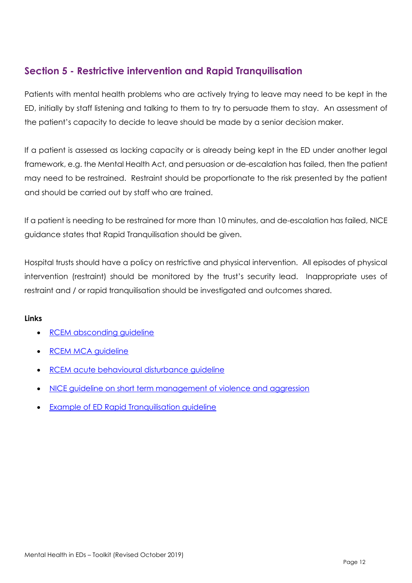## <span id="page-11-0"></span>**Section 5 - Restrictive intervention and Rapid Tranquilisation**

Patients with mental health problems who are actively trying to leave may need to be kept in the ED, initially by staff listening and talking to them to try to persuade them to stay. An assessment of the patient's capacity to decide to leave should be made by a senior decision maker.

If a patient is assessed as lacking capacity or is already being kept in the ED under another legal framework, e.g. the Mental Health Act, and persuasion or de-escalation has failed, then the patient may need to be restrained. Restraint should be proportionate to the risk presented by the patient and should be carried out by staff who are trained.

If a patient is needing to be restrained for more than 10 minutes, and de-escalation has failed, NICE guidance states that Rapid Tranquilisation should be given.

Hospital trusts should have a policy on restrictive and physical intervention. All episodes of physical intervention (restraint) should be monitored by the trust's security lead. Inappropriate uses of restraint and / or rapid tranquilisation should be investigated and outcomes shared.

- [RCEM absconding guideline](https://www.rcem.ac.uk/docs/College%20Guidelines/CEC_BPG_Abscond_130117%20SS%20final%202%20-%20on%20new%20template.pdf)
- [RCEM MCA guideline](https://www.rcem.ac.uk/docs/RCEM%20Guidance/RCEM%20Mental%20Capacity%20Act%20in%20EM%20Practice%20-%20Feb%202017.pdf)
- RCEM [acute behavioural disturbance guideline](https://www.rcem.ac.uk/docs/College%20Guidelines/5p.%20RCEM%20guidelines%20for%20management%20of%20Acute%20Behavioural%20Disturbance%20(May%202016).pdf)
- [NICE guideline on short term management of violence and aggression](https://www.nice.org.uk/guidance/NG10)
- [Example of ED Rapid Tranquilisation guideline](http://www.rcem.ac.uk/docs/RCEM%20Guidance/Raid%20Tranquilisatision%20example%20of%20ED%20guideline,%20Cambridge.docx)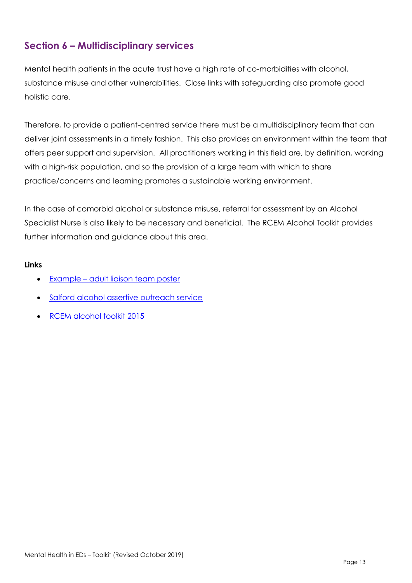## <span id="page-12-0"></span>**Section 6 – Multidisciplinary services**

Mental health patients in the acute trust have a high rate of co-morbidities with alcohol, substance misuse and other vulnerabilities. Close links with safeguarding also promote good holistic care.

Therefore, to provide a patient-centred service there must be a multidisciplinary team that can deliver joint assessments in a timely fashion. This also provides an environment within the team that offers peer support and supervision. All practitioners working in this field are, by definition, working with a high-risk population, and so the provision of a large team with which to share practice/concerns and learning promotes a sustainable working environment.

In the case of comorbid alcohol or substance misuse, referral for assessment by an Alcohol Specialist Nurse is also likely to be necessary and beneficial. The RCEM Alcohol Toolkit provides further information and guidance about this area.

- Example [adult liaison team poster](http://www.rcem.ac.uk/docs/MH%20toolkit%202017/Example%20adult%20MH%20liaison%20team%20poster.pdf)
- [Salford alcohol assertive outreach service](http://fg.bmj.com/content/early/2013/01/22/flgastro-2012-100260.full.pdf)
- [RCEM alcohol toolkit 2015](https://www.rcem.ac.uk/docs/College%20Guidelines/5z24.%20Alcohol%20toolkit%20(June%202015).pdf)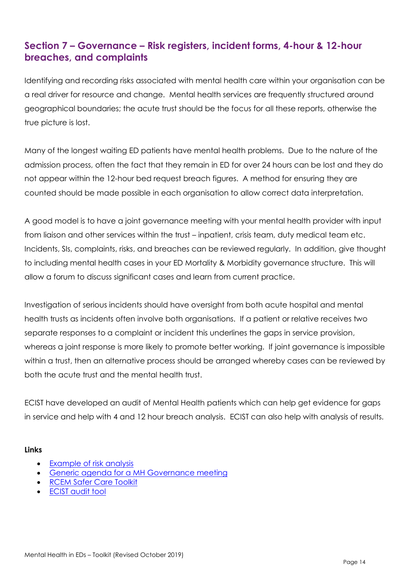## <span id="page-13-0"></span>**Section 7 – Governance – Risk registers, incident forms, 4-hour & 12-hour breaches, and complaints**

Identifying and recording risks associated with mental health care within your organisation can be a real driver for resource and change. Mental health services are frequently structured around geographical boundaries; the acute trust should be the focus for all these reports, otherwise the true picture is lost.

Many of the longest waiting ED patients have mental health problems. Due to the nature of the admission process, often the fact that they remain in ED for over 24 hours can be lost and they do not appear within the 12-hour bed request breach figures. A method for ensuring they are counted should be made possible in each organisation to allow correct data interpretation.

A good model is to have a joint governance meeting with your mental health provider with input from liaison and other services within the trust – inpatient, crisis team, duty medical team etc. Incidents, SIs, complaints, risks, and breaches can be reviewed regularly. In addition, give thought to including mental health cases in your ED Mortality & Morbidity governance structure. This will allow a forum to discuss significant cases and learn from current practice.

Investigation of serious incidents should have oversight from both acute hospital and mental health trusts as incidents often involve both organisations. If a patient or relative receives two separate responses to a complaint or incident this underlines the gaps in service provision, whereas a joint response is more likely to promote better working. If joint governance is impossible within a trust, then an alternative process should be arranged whereby cases can be reviewed by both the acute trust and the mental health trust.

ECIST have developed an audit of Mental Health patients which can help get evidence for gaps in service and help with 4 and 12 hour breach analysis. ECIST can also help with analysis of results.

- [Example of risk analysis](http://www.rcem.ac.uk/docs/Example%20of%20Risk%20Register.xlsx)
- [Generic agenda for a MH Governance meeting](http://www.rcem.ac.uk/docs/MH%20toolkit%202017/MH%20toolkit-Generic%20Agenda%20for%20Mental%20Health%20Governance%20Meeting.docx)
- [RCEM Safer Care Toolkit](http://www.rcem.ac.uk/RCEM/ForProfessionals/Safety/Safety_Resources1/Reports___Toolkits_.aspx?WebsiteKey=b3d6bb2a-abba-44ed-b758-467776a958cd&hkey=667ab6fa-11b6-48d5-be49-49a24a24531a&New_ContentCollectionOrganizerCommon=4#New_ContentCollectionOrganizerCommon)
- **ECIST** audit tool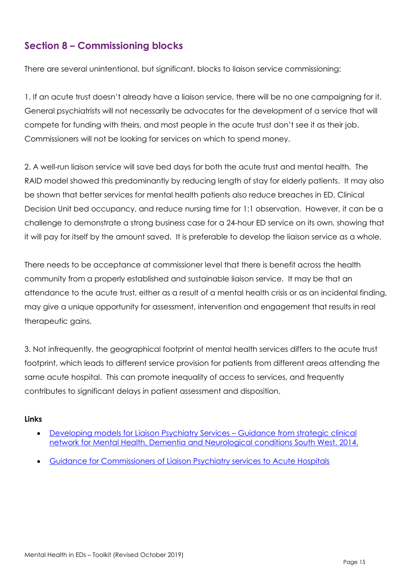## <span id="page-14-0"></span>**Section 8 – Commissioning blocks**

There are several unintentional, but significant, blocks to liaison service commissioning:

1. If an acute trust doesn't already have a liaison service, there will be no one campaigning for it. General psychiatrists will not necessarily be advocates for the development of a service that will compete for funding with theirs, and most people in the acute trust don't see it as their job. Commissioners will not be looking for services on which to spend money.

2. A well-run liaison service will save bed days for both the acute trust and mental health. The RAID model showed this predominantly by reducing length of stay for elderly patients. It may also be shown that better services for mental health patients also reduce breaches in ED, Clinical Decision Unit bed occupancy, and reduce nursing time for 1:1 observation. However, it can be a challenge to demonstrate a strong business case for a 24-hour ED service on its own, showing that it will pay for itself by the amount saved. It is preferable to develop the liaison service as a whole.

There needs to be acceptance at commissioner level that there is benefit across the health community from a properly established and sustainable liaison service. It may be that an attendance to the acute trust, either as a result of a mental health crisis or as an incidental finding, may give a unique opportunity for assessment, intervention and engagement that results in real therapeutic gains.

3. Not infrequently, the geographical footprint of mental health services differs to the acute trust footprint, which leads to different service provision for patients from different areas attending the same acute hospital. This can promote inequality of access to services, and frequently contributes to significant delays in patient assessment and disposition.

- [Developing models for Liaison Psychiatry Services](http://mentalhealthpartnerships.com/resource/developing-models-for-liaison-psychiatry-services/)  Guidance from strategic clinical [network for Mental Health, Dementia and Neurological conditions South West. 2014.](http://mentalhealthpartnerships.com/resource/developing-models-for-liaison-psychiatry-services/)
- [Guidance for Commissioners of Liaison Psychiatry services to Acute Hospitals](http://www.jcpmh.info/wp-content/uploads/jcpmh-liaison-guide.pdf)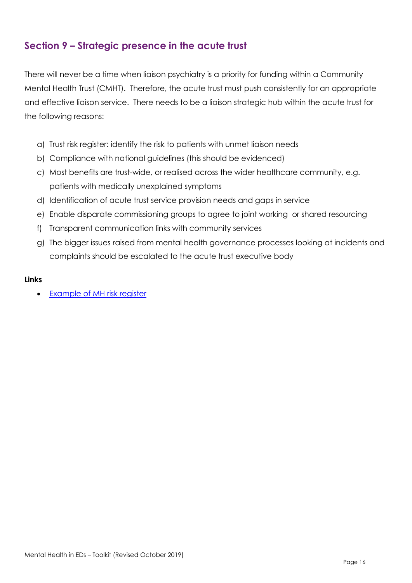## <span id="page-15-0"></span>**Section 9 – Strategic presence in the acute trust**

There will never be a time when liaison psychiatry is a priority for funding within a Community Mental Health Trust (CMHT). Therefore, the acute trust must push consistently for an appropriate and effective liaison service. There needs to be a liaison strategic hub within the acute trust for the following reasons:

- a) Trust risk register: identify the risk to patients with unmet liaison needs
- b) Compliance with national guidelines (this should be evidenced)
- c) Most benefits are trust-wide, or realised across the wider healthcare community, e.g. patients with medically unexplained symptoms
- d) Identification of acute trust service provision needs and gaps in service
- e) Enable disparate commissioning groups to agree to joint working or shared resourcing
- f) Transparent communication links with community services
- g) The bigger issues raised from mental health governance processes looking at incidents and complaints should be escalated to the acute trust executive body

#### **Links**

• [Example of MH risk register](http://www.rcem.ac.uk/docs/MH%20toolkit%202017/MH%20toolkit%20-%20Example%20of%20Risk%20Register.xlsx)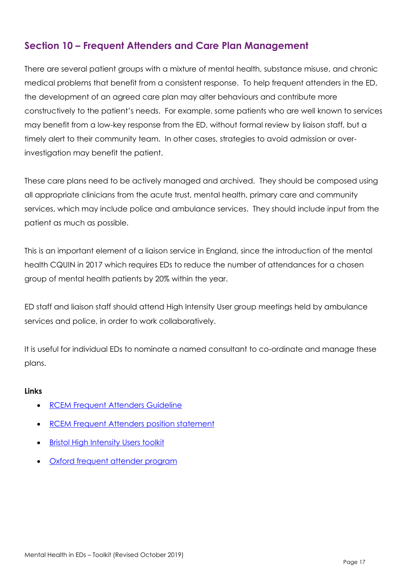## <span id="page-16-0"></span>**Section 10 – Frequent Attenders and Care Plan Management**

There are several patient groups with a mixture of mental health, substance misuse, and chronic medical problems that benefit from a consistent response. To help frequent attenders in the ED, the development of an agreed care plan may alter behaviours and contribute more constructively to the patient's needs. For example, some patients who are well known to services may benefit from a low-key response from the ED, without formal review by liaison staff, but a timely alert to their community team. In other cases, strategies to avoid admission or overinvestigation may benefit the patient.

These care plans need to be actively managed and archived. They should be composed using all appropriate clinicians from the acute trust, mental health, primary care and community services, which may include police and ambulance services. They should include input from the patient as much as possible.

This is an important element of a liaison service in England, since the introduction of the mental health CQUIN in 2017 which requires EDs to reduce the number of attendances for a chosen group of mental health patients by 20% within the year.

ED staff and liaison staff should attend High Intensity User group meetings held by ambulance services and police, in order to work collaboratively.

It is useful for individual EDs to nominate a named consultant to co-ordinate and manage these plans.

- [RCEM Frequent Attenders Guideline](http://www.rcem.ac.uk/docs/RCEM%20Guidance/Guideline%20-%20Frequent%20Attenders%20in%20the%20ED%20(Aug%202017).pdf)
- [RCEM Frequent Attenders](http://www.rcem.ac.uk/docs/RCEM%20Guidance/RCEM%20Frequent%20Attenders%20CQUIN%20statement%20(Aug%202017).pdf) position statement
- **[Bristol High Intensity Users toolkit](https://solutions.hsj.co.uk/story.aspx?storyCode=7019514&preview=1&hash=473B8267849A003FC1270EE4FB90BC7D)**
- [Oxford frequent attender program](https://www.ouh.nhs.uk/news/article.aspx?id=779)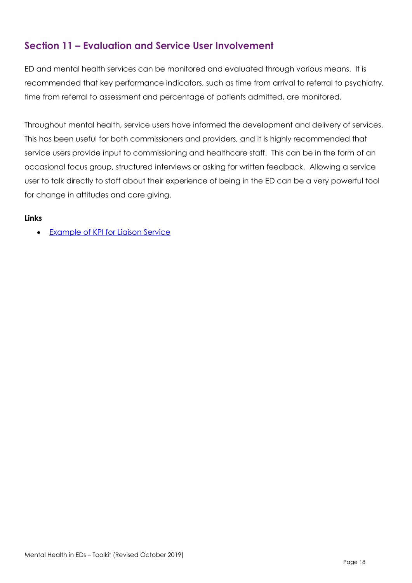## <span id="page-17-0"></span>**Section 11 – Evaluation and Service User Involvement**

ED and mental health services can be monitored and evaluated through various means. It is recommended that key performance indicators, such as time from arrival to referral to psychiatry, time from referral to assessment and percentage of patients admitted, are monitored.

Throughout mental health, service users have informed the development and delivery of services. This has been useful for both commissioners and providers, and it is highly recommended that service users provide input to commissioning and healthcare staff. This can be in the form of an occasional focus group, structured interviews or asking for written feedback. Allowing a service user to talk directly to staff about their experience of being in the ED can be a very powerful tool for change in attitudes and care giving.

#### **Links**

• [Example of KPI for Liaison Service](http://www.rcem.ac.uk/docs/MH%20toolkit%202017/MH%20toolkit%20-%20Examples%20of%20KPI%20reporting.docx)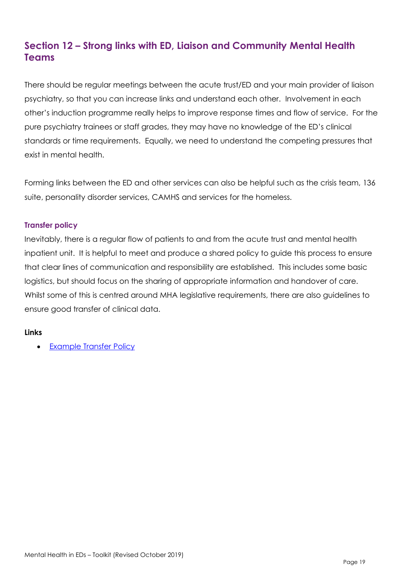## <span id="page-18-0"></span>**Section 12 – Strong links with ED, Liaison and Community Mental Health Teams**

There should be regular meetings between the acute trust/ED and your main provider of liaison psychiatry, so that you can increase links and understand each other. Involvement in each other's induction programme really helps to improve response times and flow of service. For the pure psychiatry trainees or staff grades, they may have no knowledge of the ED's clinical standards or time requirements. Equally, we need to understand the competing pressures that exist in mental health.

Forming links between the ED and other services can also be helpful such as the crisis team, 136 suite, personality disorder services, CAMHS and services for the homeless.

#### <span id="page-18-1"></span>**Transfer policy**

Inevitably, there is a regular flow of patients to and from the acute trust and mental health inpatient unit. It is helpful to meet and produce a shared policy to guide this process to ensure that clear lines of communication and responsibility are established. This includes some basic logistics, but should focus on the sharing of appropriate information and handover of care. Whilst some of this is centred around MHA legislative requirements, there are also guidelines to ensure good transfer of clinical data.

#### **Links**

• [Example Transfer Policy](http://www.rcem.ac.uk/docs/MH%20toolkit%202017/MH%20toolkit%20-%20Transfer%20of%20Detained%20Patients%20to%20Acute%20Hospitals%20Pathway.docx)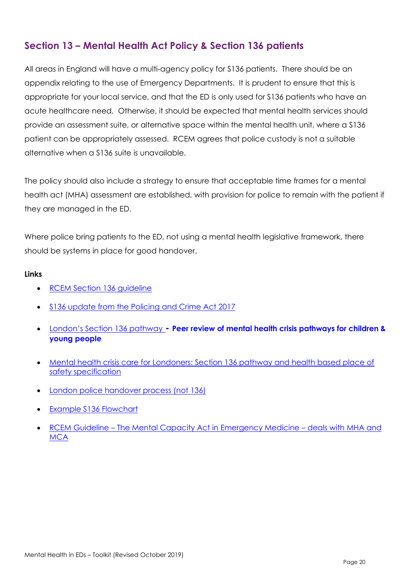## <span id="page-19-0"></span>**Section 13 – Mental Health Act Policy & Section 136 patients**

All areas in England will have a multi-agency policy for S136 patients. There should be an appendix relating to the use of Emergency Departments. It is prudent to ensure that this is appropriate for your local service, and that the ED is only used for S136 patients who have an acute healthcare need. Otherwise, it should be expected that mental health services should provide an assessment suite, or alternative space within the mental health unit, where a S136 patient can be appropriately assessed. RCEM agrees that police custody is not a suitable alternative when a S136 suite is unavailable.

The policy should also include a strategy to ensure that acceptable time frames for a mental health act (MHA) assessment are established, with provision for police to remain with the patient if they are managed in the ED.

Where police bring patients to the ED, not using a mental health legislative framework, there should be systems in place for good handover.

- [RCEM Section 136 guideline](http://www.rcem.ac.uk/docs/College%20Guidelines/A%20brief%20guide%20to%20Section%20136%20for%20Emergency%20Departments%20-%20Dec%202017.pdf)
- [S136 update from the Policing and Crime Act 2017](http://www.rcpsych.ac.uk/policyandparliamentary/changestos135and136mha.aspx)
- Lond[on's Section 136 pathway](https://www.healthylondon.org/resource/peer-review-mental-health-crisis-pathways-children-young-people/) **- Peer review of mental health crisis pathways for children & young people**
- Mental health crisis care for Londoners: Section 136 pathway and health based place of [safety specification](https://www.healthylondon.org/resource/mental-health-crisis-care-londoners/)
- **[London police handover process \(not 136\)](https://www.healthylondon.org/resource/case-study-londons-mental-health-handover-form/)**
- [Example S136 Flowchart](http://www.rcem.ac.uk/docs/MH%20toolkit%202017/MH%20toolkit%20-%20S136%20flow%20chart%20generic.docx)
- RCEM Guideline [The Mental Capacity Act in Emergency Medicine](http://www.rcem.ac.uk/docs/RCEM%20Guidance/RCEM%20Mental%20Capacity%20Act%20in%20EM%20Practice%20-%20Feb%202017.pdf)  deals with MHA and **[MCA](http://www.rcem.ac.uk/docs/RCEM%20Guidance/RCEM%20Mental%20Capacity%20Act%20in%20EM%20Practice%20-%20Feb%202017.pdf)**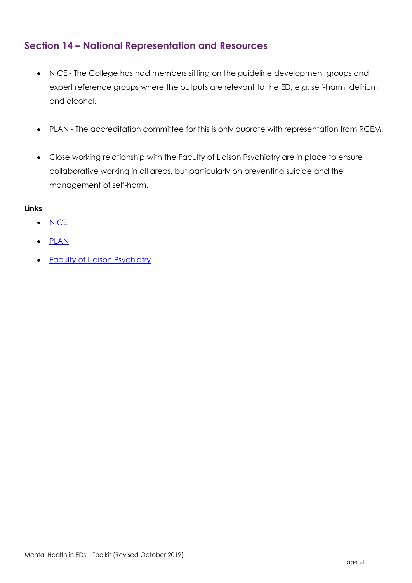## <span id="page-20-0"></span>**Section 14 – National Representation and Resources**

- NICE The College has had members sitting on the guideline development groups and expert reference groups where the outputs are relevant to the ED, e.g. self-harm, delirium, and alcohol.
- PLAN The accreditation committee for this is only quorate with representation from RCEM.
- Close working relationship with the Faculty of Liaison Psychiatry are in place to ensure collaborative working in all areas, but particularly on preventing suicide and the management of self-harm.

- [NICE](http://www.nice.org.uk/)
- [PLAN](http://www.rcpsych.ac.uk/workinpsychiatry/qualityimprovement/qualityandaccreditation/liaisonpsychiatry/plan.aspx)
- **[Faculty of Liaison Psychiatry](http://www.rcpsych.ac.uk/college/faculties/liaison.aspx)**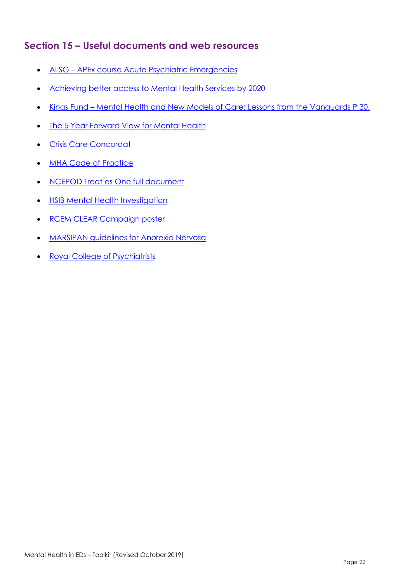## <span id="page-21-0"></span>**Section 15 – Useful documents and web resources**

- ALSG [APEx course Acute Psychiatric Emergencies](https://www.alsg.org/en/files/XFactsheet.pdf)
- [Achieving better access to Mental Health](https://www.gov.uk/government/publications/mental-health-services-achieving-better-access-by-2020) Services by 2020
- Kings Fund [Mental Health and New Models of Care: Lessons from the Vanguards](https://www.kingsfund.org.uk/publications/mental-health-new-care-models) P 30.
- [The 5 Year Forward View for Mental Health](https://www.england.nhs.uk/wp-content/uploads/2016/02/Mental-Health-Taskforce-FYFV-final.pdf)
- [Crisis Care Concordat](http://www.crisiscareconcordat.org.uk/)
- [MHA Code of Practice](http://www.rcem.ac.uk/docs/MH%20toolkit%202017/MH%20toolkit%20-%20MHA%20Code%20of%20Practice.pdf)
- [NCEPOD Treat as One full document](http://www.rcem.ac.uk/docs/MH%20toolkit%202017/MH%20toolkit%20-%20TreatAsOne_FullReport.pdf)
- [HSIB Mental Health Investigation](https://www.hsib.org.uk/news/hsib-national-report-reinforces-need-247-emergency-mental-health-care/)
- [RCEM CLEAR Campaign poster](http://www.rcem.ac.uk/RCEM/Quality-Policy/Policy/CLEAR.aspx?WebsiteKey=b3d6bb2a-abba-44ed-b758-467776a958cd)
- [MARSIPAN guidelines for Anorexia Nervosa](http://www.rcem.ac.uk/docs/Clinical%20Standards%20and%20Guidance/Education%20board%20slides_marsipan.pdf)
- [Royal College of Psychiatrists](http://www.rcpsych.ac.uk/)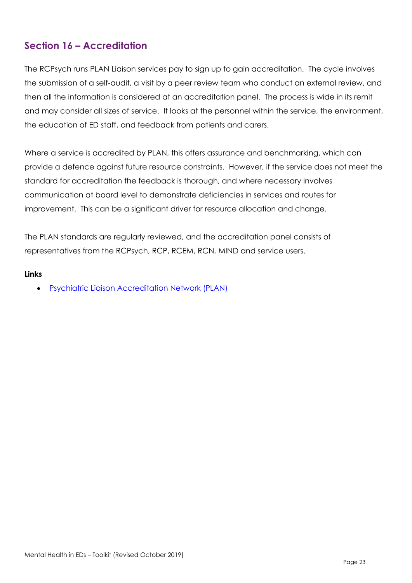## <span id="page-22-0"></span>**Section 16 – Accreditation**

The RCPsych runs PLAN Liaison services pay to sign up to gain accreditation. The cycle involves the submission of a self-audit, a visit by a peer review team who conduct an external review, and then all the information is considered at an accreditation panel. The process is wide in its remit and may consider all sizes of service. It looks at the personnel within the service, the environment, the education of ED staff, and feedback from patients and carers.

Where a service is accredited by PLAN, this offers assurance and benchmarking, which can provide a defence against future resource constraints. However, if the service does not meet the standard for accreditation the feedback is thorough, and where necessary involves communication at board level to demonstrate deficiencies in services and routes for improvement. This can be a significant driver for resource allocation and change.

The PLAN standards are regularly reviewed, and the accreditation panel consists of representatives from the RCPsych, RCP, RCEM, RCN, MIND and service users.

#### **Links**

• [Psychiatric Liaison Accreditation Network \(PLAN\)](http://www.rcpsych.ac.uk/workinpsychiatry/qualityimprovement/qualityandaccreditation/liaisonpsychiatry/plan.aspx)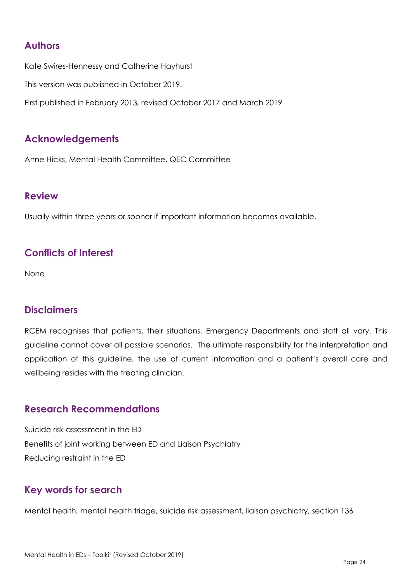## <span id="page-23-0"></span>**Authors**

Kate Swires-Hennessy and Catherine Hayhurst This version was published in October 2019. First published in February 2013, revised October 2017 and March 2019

## <span id="page-23-1"></span>**Acknowledgements**

Anne Hicks, Mental Health Committee, QEC Committee

### <span id="page-23-2"></span>**Review**

Usually within three years or sooner if important information becomes available.

## <span id="page-23-3"></span>**Conflicts of Interest**

None

## <span id="page-23-4"></span>**Disclaimers**

RCEM recognises that patients, their situations, Emergency Departments and staff all vary. This guideline cannot cover all possible scenarios. The ultimate responsibility for the interpretation and application of this guideline, the use of current information and a patient's overall care and wellbeing resides with the treating clinician.

## <span id="page-23-5"></span>**Research Recommendations**

Suicide risk assessment in the ED Benefits of joint working between ED and Liaison Psychiatry Reducing restraint in the ED

## <span id="page-23-6"></span>**Key words for search**

Mental health, mental health triage, suicide risk assessment, liaison psychiatry, section 136